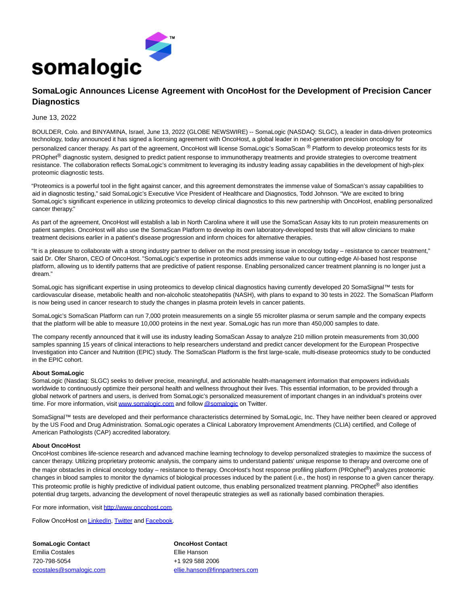

## **SomaLogic Announces License Agreement with OncoHost for the Development of Precision Cancer Diagnostics**

## June 13, 2022

BOULDER, Colo. and BINYAMINA, Israel, June 13, 2022 (GLOBE NEWSWIRE) -- SomaLogic (NASDAQ: SLGC), a leader in data-driven proteomics technology, today announced it has signed a licensing agreement with OncoHost, a global leader in next-generation precision oncology for personalized cancer therapy. As part of the agreement, OncoHost will license SomaLogic's SomaScan ® Platform to develop proteomics tests for its PROphet<sup>®</sup> diagnostic system, designed to predict patient response to immunotherapy treatments and provide strategies to overcome treatment resistance. The collaboration reflects SomaLogic's commitment to leveraging its industry leading assay capabilities in the development of high-plex proteomic diagnostic tests.

"Proteomics is a powerful tool in the fight against cancer, and this agreement demonstrates the immense value of SomaScan's assay capabilities to aid in diagnostic testing," said SomaLogic's Executive Vice President of Healthcare and Diagnostics, Todd Johnson. "We are excited to bring SomaLogic's significant experience in utilizing proteomics to develop clinical diagnostics to this new partnership with OncoHost, enabling personalized cancer therapy."

As part of the agreement, OncoHost will establish a lab in North Carolina where it will use the SomaScan Assay kits to run protein measurements on patient samples. OncoHost will also use the SomaScan Platform to develop its own laboratory-developed tests that will allow clinicians to make treatment decisions earlier in a patient's disease progression and inform choices for alternative therapies.

"It is a pleasure to collaborate with a strong industry partner to deliver on the most pressing issue in oncology today – resistance to cancer treatment," said Dr. Ofer Sharon, CEO of OncoHost. "SomaLogic's expertise in proteomics adds immense value to our cutting-edge AI-based host response platform, allowing us to identify patterns that are predictive of patient response. Enabling personalized cancer treatment planning is no longer just a dream."

SomaLogic has significant expertise in using proteomics to develop clinical diagnostics having currently developed 20 SomaSignal™ tests for cardiovascular disease, metabolic health and non-alcoholic steatohepatitis (NASH), with plans to expand to 30 tests in 2022. The SomaScan Platform is now being used in cancer research to study the changes in plasma protein levels in cancer patients.

SomaLogic's SomaScan Platform can run 7,000 protein measurements on a single 55 microliter plasma or serum sample and the company expects that the platform will be able to measure 10,000 proteins in the next year. SomaLogic has run more than 450,000 samples to date.

The company recently announced that it will use its industry leading SomaScan Assay to analyze 210 million protein measurements from 30,000 samples spanning 15 years of clinical interactions to help researchers understand and predict cancer development for the European Prospective Investigation into Cancer and Nutrition (EPIC) study. The SomaScan Platform is the first large-scale, multi-disease proteomics study to be conducted in the EPIC cohort.

## **About SomaLogic**

SomaLogic (Nasdaq: SLGC) seeks to deliver precise, meaningful, and actionable health-management information that empowers individuals worldwide to continuously optimize their personal health and wellness throughout their lives. This essential information, to be provided through a global network of partners and users, is derived from SomaLogic's personalized measurement of important changes in an individual's proteins over time. For more information, visi[t www.somalogic.com a](https://www.globenewswire.com/Tracker?data=hGGP_9pqTAmi17Tb1B6jVbusHWDTzup9M88SZ9b3n_n1A8QK_AE2kxaRCvYQNaLylv66a2RCQ8N4kCmE1kOkRA==)nd follo[w @somalogic o](https://www.globenewswire.com/Tracker?data=dXj6bnkmrNXbb4QzIuQ-w9DEs4drn_dLthjpQ011TjOhJM-dIgDTan9P7zCW-kUNWMVk6Xp-UMaFiQZpNsjtlQ==)n Twitter.

SomaSignal™ tests are developed and their performance characteristics determined by SomaLogic, Inc. They have neither been cleared or approved by the US Food and Drug Administration. SomaLogic operates a Clinical Laboratory Improvement Amendments (CLIA) certified, and College of American Pathologists (CAP) accredited laboratory.

## **About OncoHost**

OncoHost combines life-science research and advanced machine learning technology to develop personalized strategies to maximize the success of cancer therapy. Utilizing proprietary proteomic analysis, the company aims to understand patients' unique response to therapy and overcome one of the major obstacles in clinical oncology today – resistance to therapy. OncoHost's host response profiling platform (PROphet®) analyzes proteomic changes in blood samples to monitor the dynamics of biological processes induced by the patient (i.e., the host) in response to a given cancer therapy. This proteomic profile is highly predictive of individual patient outcome, thus enabling personalized treatment planning. PROphet<sup>®</sup> also identifies potential drug targets, advancing the development of novel therapeutic strategies as well as rationally based combination therapies.

For more information, visit [http://www.oncohost.com.](https://www.globenewswire.com/Tracker?data=CqJzwL0u5PDXw5Ur9ZMnT4L52ym-4mCnjz3W3v6_sUBjRRXm-RzTkhgFChNIZAuwr5_dq1F1P_pjAxvBdMp156-RL2RyjPVL1ePnecsXZ3w=)

Follow OncoHost on [LinkedIn,](https://www.globenewswire.com/Tracker?data=Agv1tqYmML_R0TY4cx0Zr2KyZpI7inW6pb0d0Q5zfq1GGW44hDd8mj7fwzRH5hZIxwDw5l333pPzfgGqSv72uODhA1Wn-f5_1BUoDTcQheg=) [Twitter a](https://www.globenewswire.com/Tracker?data=U_7jkcowN5BfPeSqD4ZRaSAH3ndylemoS1f5WeE0Z8Zx8vm_RWhRwr-FdhfHbUu1j3wTrwJ-ii_nQTyfu6gUDZLWmdyogW_ZtVQB9AAEi70=)nd [Facebook.](https://www.globenewswire.com/Tracker?data=MWU1S8sdnqdTkmqibl1Hduttz7GyomgcxBk-UhQ4iyN4j7gsEa5ogi5wGvgPloPOHZWPYLS5aU0Xsept2-9gz3dab_PLoqbDdyvbLwy1ukM=)

**SomaLogic Contact CONTER CONTACT CONTACT CONTACT CONTACT CONTACT CONTACT CONTACT CONTACT CONTACT CONTACT CONTACT CONTACT CONTACT CONTACT CONTACT CONTACT CONTACT CONTACT CONTACT CONTACT CONTACT CONTACT CONTACT CONTACT CO** Emilia Costales Ellie Hanson 720-798-5054 +1 929 588 2006

[ecostales@somalogic.com](mailto:ecostales@somalogic.com) [ellie.hanson@finnpartners.com](mailto:ellie.hanson@finnpartners.com)